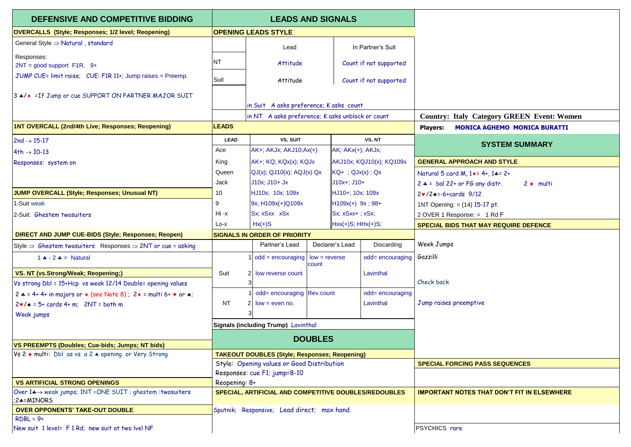| DEFENSIVE AND COMPETITIVE BIDDING                                                                    | <b>LEADS AND SIGNALS</b>                             |                                                                                             |                                              |                         |                          |                                              |                                                       |  |
|------------------------------------------------------------------------------------------------------|------------------------------------------------------|---------------------------------------------------------------------------------------------|----------------------------------------------|-------------------------|--------------------------|----------------------------------------------|-------------------------------------------------------|--|
| <b>OVERCALLS (Style; Responses; 1/2 level; Reopening)</b>                                            | <b>OPENING LEADS STYLE</b>                           |                                                                                             |                                              |                         |                          |                                              |                                                       |  |
| General Style ⇒ Natural, standard                                                                    |                                                      | Lead                                                                                        |                                              |                         | In Partner's Suit        |                                              |                                                       |  |
| Responses:<br>$2NT = good support F1R, 9+$                                                           | NT                                                   | Attitude                                                                                    |                                              |                         | Count if not supported   |                                              |                                                       |  |
| JUMP CUE= limit raise; CUE: F1R 11+; Jump raises = Preemp.                                           | Suit                                                 | Attitude                                                                                    |                                              |                         | Count if not supported   |                                              |                                                       |  |
| 3 */◆ =If Jump or cue SUPPORT ON PARTNER MAJOR SUIT                                                  |                                                      |                                                                                             |                                              |                         |                          |                                              |                                                       |  |
|                                                                                                      |                                                      | in Suit A asks preference; K asks count<br>in NT A asks preference; K asks unblock or count |                                              |                         |                          |                                              | <b>Country: Italy Category GREEN Event: Women</b>     |  |
| 1NT OVERCALL (2nd/4th Live; Responses; Reopening)                                                    | <b>LEADS</b>                                         |                                                                                             |                                              |                         |                          |                                              |                                                       |  |
|                                                                                                      |                                                      |                                                                                             |                                              |                         |                          | <b>Players:</b>                              | <b>MONICA AGHEMO MONICA BURATTI</b>                   |  |
| $2nd \rightarrow 15-17$                                                                              | <b>LEAD</b>                                          | VS. SUIT                                                                                    |                                              | VS.NT                   |                          |                                              | <b>SYSTEM SUMMARY</b>                                 |  |
| $4th \rightarrow 10-13$                                                                              | Ace                                                  | AK+; AKJx; AKJ10;Ax(+)                                                                      |                                              | AK; AKx(+); AKJx;       |                          |                                              |                                                       |  |
| Responses: system on                                                                                 | King                                                 | AK+; KQ; KQx(x); KQJx                                                                       |                                              |                         | AKJ10x; KQJ10(x); KQ109x |                                              | <b>GENERAL APPROACH AND STYLE</b>                     |  |
|                                                                                                      | Queen                                                | $QJ(x)$ ; $QJ10(x)$ ; $AQJ(x)$ Qx                                                           |                                              | $KG+$ ; $QJx(x)$ ; $Qx$ |                          |                                              | Natural 5 card M, $1 \cdot = 4 + 1 \cdot = 2 + 1$     |  |
|                                                                                                      | Jack                                                 | J10x; J10+ Jx                                                                               |                                              | $J10x +$ ; $J10+$       |                          |                                              | $2 * =$ bal 22+ or FG any distr.<br>$2 \bullet$ multi |  |
| JUMP OVERCALL (Style; Responses; Unusual NT)                                                         | 10                                                   | HJ10x; 10x; 109x                                                                            |                                              | HJ10+; 10x; 109x        |                          |                                              | $2 \cdot 2 \cdot 5 = -6 + \text{cards} 9/12$          |  |
| 1-Suit weak                                                                                          | 9                                                    | 9x; H109x(+)Q109x                                                                           |                                              | $H109x(+) 9x ; 98+$     |                          |                                              | 1NT Opening: = (14) 15-17 pt.                         |  |
| 2-Suit: Ghestem twosuiters                                                                           | Hi -x                                                | Sx; xSxx xSx                                                                                | Sx; xSxx+; xSx;                              |                         |                          | 2 OVER 1 Response: $= 1$ Rd F                |                                                       |  |
|                                                                                                      | Lo-x                                                 | $Hx(+)S$                                                                                    | $Hxx(+)S$ ; $HHx(+)S$ ;                      |                         |                          | <b>SPECIAL BIDS THAT MAY REQUIRE DEFENCE</b> |                                                       |  |
| <b>DIRECT AND JUMP CUE-BIDS (Style; Responses; Reopen)</b>                                           |                                                      | <b>SIGNALS IN ORDER OF PRIORITY</b>                                                         |                                              |                         |                          |                                              |                                                       |  |
| Style $\Rightarrow$ Ghestem twosuiters Responses $\Rightarrow$ 2NT or cue = asking                   |                                                      | Partner's Lead                                                                              |                                              | Declarer's Lead         | Discarding               | Week Jumps                                   |                                                       |  |
| 1 $\div$ - 2 $\div$ = Natural                                                                        |                                                      | $1   odd = \text{encouraging}$                                                              | $low = reverse$<br>odd= encouraging<br>count |                         | Gazzilli                 |                                              |                                                       |  |
| VS. NT (vs.Strong/Weak; Reopening;)                                                                  | Suit                                                 | 2 low reverse count                                                                         |                                              |                         | Lavinthal                |                                              |                                                       |  |
| Vs strong Dbl = 15+Hcp vs weak 12/14 Double= opening values                                          |                                                      |                                                                                             |                                              | Check back              |                          |                                              |                                                       |  |
| $2 * = 4 + 4 +$ in majors or $\bullet$ (see Note 8): $2 \bullet =$ multi 6+ $\bullet$ or $\bullet$ : |                                                      | odd= encouraging Rev.count                                                                  |                                              |                         | odd= encouraging         |                                              |                                                       |  |
| $2\mathbf{v}/\mathbf{A}$ = 5+ cards 4+ m; 2NT = both m                                               | <b>NT</b>                                            | $\overline{2}$<br>$low = even no$ .                                                         |                                              |                         | Lavinthal                |                                              | Jump raises preemptive                                |  |
| Weak jumps                                                                                           |                                                      |                                                                                             |                                              |                         |                          |                                              |                                                       |  |
|                                                                                                      |                                                      | Signals (including Trump) Lavinthal                                                         |                                              |                         |                          |                                              |                                                       |  |
|                                                                                                      |                                                      |                                                                                             |                                              |                         |                          |                                              |                                                       |  |
| VS PREEMPTS (Doubles; Cue-bids; Jumps; NT bids)                                                      | <b>DOUBLES</b>                                       |                                                                                             |                                              |                         |                          |                                              |                                                       |  |
| $Vs 2$ multi: Dbl as vs a 2 $\triangle$ opening or Very Strong                                       | <b>TAKEOUT DOUBLES (Style; Responses; Reopening)</b> |                                                                                             |                                              |                         |                          |                                              |                                                       |  |
|                                                                                                      | Style: Opening values or Good Distribution           |                                                                                             |                                              |                         |                          |                                              | <b>SPECIAL FORCING PASS SEQUENCES</b>                 |  |
|                                                                                                      | Responses: cue F1; jump=8-10                         |                                                                                             |                                              |                         |                          |                                              |                                                       |  |
| <b>VS ARTIFICIAL STRONG OPENINGS</b>                                                                 | Reopening: 8+                                        |                                                                                             |                                              |                         |                          |                                              |                                                       |  |
| Over 1∗→ weak jumps; 1NT = ONE SUIT ; ghestem : twosuiters<br>:2+=MINORS                             |                                                      | SPECIAL, ARTIFICIAL AND COMPETITIVE DOUBLES/REDOUBLES                                       |                                              |                         |                          |                                              | <b>IMPORTANT NOTES THAT DON'T FIT IN ELSEWHERE</b>    |  |
| <b>OVER OPPONENTS' TAKE-OUT DOUBLE</b>                                                               | Sputnik; Responsive; Lead direct; max hand.          |                                                                                             |                                              |                         |                          |                                              |                                                       |  |
| $RDBL = 9+$                                                                                          |                                                      |                                                                                             |                                              |                         |                          |                                              |                                                       |  |
| New suit 1 level= F1 Rd; new suit at two lvel NF                                                     |                                                      |                                                                                             |                                              |                         |                          | PSYCHICS rare                                |                                                       |  |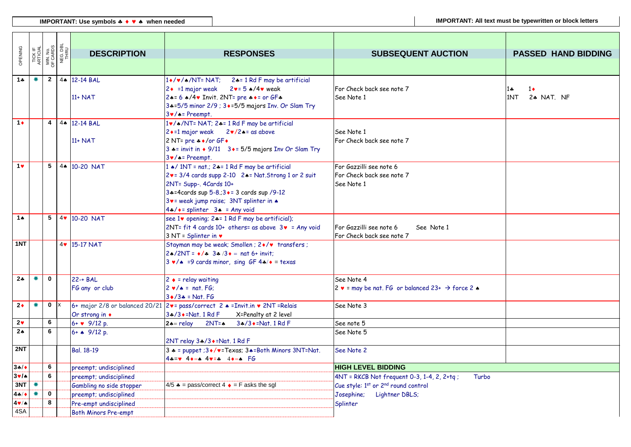| OPENING        |    |              | TICK IF<br>ARTICIAL<br>MIN. NO.<br>OF CARDS<br>NEG. DBL<br>THRU | <b>DESCRIPTION</b>          | <b>RESPONSES</b>                                                                                                      | <b>SUBSEQUENT AUCTION</b>                                                    | <b>PASSED HAND BIDDING</b>               |
|----------------|----|--------------|-----------------------------------------------------------------|-----------------------------|-----------------------------------------------------------------------------------------------------------------------|------------------------------------------------------------------------------|------------------------------------------|
|                |    |              |                                                                 |                             |                                                                                                                       |                                                                              |                                          |
|                |    |              |                                                                 |                             |                                                                                                                       |                                                                              |                                          |
| $1 +$          | ₩. | $\mathbf{2}$ |                                                                 | 44 12-14 BAL                | $1*/\sqrt{2}$ /NT= NAT; 2.4= 1 Rd F may be artificial                                                                 |                                                                              |                                          |
|                |    |              |                                                                 |                             | $2 \cdot 1$ major weak<br>$2v = 5$ $\star$ /4 $v$ weak<br>24= 6 A/4v Invit. 2NT= pre + += or GF+                      | For Check back see note 7<br>See Note 1                                      | $1 -$<br>$1\bullet$<br>1NT<br>2+ NAT. NF |
|                |    |              |                                                                 | $11+NAT$                    | 3+=5/5 minor 2/9 ; 3+=5/5 majors Inv. Or Slam Try                                                                     |                                                                              |                                          |
|                |    |              |                                                                 |                             | $3 \cdot / \cdot$ Preempt.                                                                                            |                                                                              |                                          |
| $1+$           |    |              |                                                                 | $4   4 \cdot 12 - 14 BAL$   | 1v/*/NT= NAT; 2*= 1 Rd F may be artificial                                                                            |                                                                              |                                          |
|                |    |              |                                                                 |                             | 2 • = 1 major weak 2v/2 • = as above                                                                                  | See Note 1                                                                   |                                          |
|                |    |              |                                                                 | 11+ NAT                     | 2 NT= pre + +/or GF +                                                                                                 | For Check back see note 7                                                    |                                          |
|                |    |              |                                                                 |                             | 3 *= invit in ◆ 9/11 3 ◆= 5/5 majors Inv Or Slam Try                                                                  |                                                                              |                                          |
|                |    |              |                                                                 |                             | $3 \cdot / \cdot$ Preempt.                                                                                            |                                                                              |                                          |
| 1 <sub>v</sub> |    |              |                                                                 | $\overline{5}$ 44 10-20 NAT | 1 A/ 1NT = nat.; 24 = 1 Rd F may be artificial                                                                        | For Gazzilli see note 6                                                      |                                          |
|                |    |              |                                                                 |                             | 2v= 3/4 cards supp 2-10 24= Nat.Strong 1 or 2 suit                                                                    | For Check back see note 7                                                    |                                          |
|                |    |              |                                                                 |                             | 2NT= Supp-, 4Cards 10+                                                                                                | See Note 1                                                                   |                                          |
|                |    |              |                                                                 |                             | 3:4=4 cards sup 5-8:3+= 3 cards sup /9-12<br>3v= weak jump raise; 3NT splinter in $\triangle$                         |                                                                              |                                          |
|                |    |              |                                                                 |                             | $4*/\bullet$ = splinter $3\bullet$ = Any void                                                                         |                                                                              |                                          |
| $1+$           |    | 5            |                                                                 | 4 10-20 NAT                 | see 1v opening; 2+= 1 Rd F may be artificial);                                                                        |                                                                              |                                          |
|                |    |              |                                                                 |                             | 2NT= fit 4 cards 10+ others= as above $3\mathbf{v}$ = Any void                                                        | For Gazzilli see note 6<br>See Note 1                                        |                                          |
|                |    |              |                                                                 |                             | $3 NT = Splitter in v$                                                                                                | For Check back see note 7                                                    |                                          |
| 1NT            |    |              |                                                                 | 4v 15-17 NAT                | Stayman may be weak; Smollen ; 2+/v transfers ;                                                                       |                                                                              |                                          |
|                |    |              |                                                                 |                             | $2 \cdot \sqrt{2NT} = \frac{1}{2} \cdot \frac{3}{2} \cdot \frac{3}{2} = \text{nat } 6 + \text{invit};$                |                                                                              |                                          |
|                |    |              |                                                                 |                             | $3 \cdot / *$ =9 cards minor, sing GF 4 $* / *$ = texas                                                               |                                                                              |                                          |
|                |    |              |                                                                 |                             |                                                                                                                       |                                                                              |                                          |
| $2*$           | ₩. | $\mathbf 0$  |                                                                 | $22 - + BAL$                | $2 \triangleq$ = relay waiting                                                                                        | See Note 4                                                                   |                                          |
|                |    |              |                                                                 | FG any or club              | $2 \cdot / \cdot = \text{nat.}$ FG;                                                                                   | 2 $\bullet$ = may be nat. FG or balanced 23+ $\rightarrow$ force 2 $\bullet$ |                                          |
| $2*$           | ₩. | $0 \mid x$   |                                                                 |                             | $3 \cdot 3 \cdot 5 = \text{Nat.}$ FG<br>6+ major 2/8 or balanced 20/21 2v= pass/correct 2 + = Invit.in v 2NT = Relais | See Note 3                                                                   |                                          |
|                |    |              |                                                                 | Or strong in $\bullet$      | 3+/3+=Nat. 1 Rd F<br>X=Penalty at 2 level                                                                             |                                                                              |                                          |
| $2\vee$        |    | 6            |                                                                 | $6 + 9/12 p$ .              | $2 \triangle =$ relay<br>$2NT = \spadesuit$<br>3:4/3 • = Nat. 1 Rd F                                                  | See note 5                                                                   |                                          |
| 2 <sub>A</sub> |    | 6            |                                                                 | 6+ A 9/12 p.                |                                                                                                                       | See Note 5                                                                   |                                          |
|                |    |              |                                                                 |                             | 2NT relay 3+/3+=Nat. 1 Rd F                                                                                           |                                                                              |                                          |
| 2NT            |    |              |                                                                 | Bal. 18-19                  | $3 * =$ puppet; $3*/$ v=Texas; $3 * =$ Both Minors $3NT = Nat$ .                                                      | See Note 2                                                                   |                                          |
|                |    |              |                                                                 |                             | $4 \div = \vee 4 \leftrightarrow = 4 \vee = 4 4 \leftrightarrow = 6$                                                  |                                                                              |                                          |
| 34/            |    | 6            |                                                                 | preempt; undisciplined      |                                                                                                                       | <b>HIGH LEVEL BIDDING</b>                                                    |                                          |
| 3v/4           |    | 6            |                                                                 | preempt; undisciplined      |                                                                                                                       | 4NT = RKCB Not frequent 0-3, 1-4, 2, 2+tq;<br>Turbo                          |                                          |
| 3NT            | *  |              |                                                                 | Gambling no side stopper    | 4/5 $\triangle$ = pass/correct 4 $\triangle$ = F asks the sgl                                                         | Cue style: 1st or 2 <sup>nd</sup> round control                              |                                          |
| 4.4/           |    | $\mathbf 0$  |                                                                 | preempt; undisciplined      |                                                                                                                       | Josephine;<br>Lightner DBLS;                                                 |                                          |
| 49/4           |    | 8            |                                                                 | Pre-empt undisciplined      |                                                                                                                       | Splinter                                                                     |                                          |
| 4SA            |    |              |                                                                 | Both Minors Pre-empt        |                                                                                                                       |                                                                              |                                          |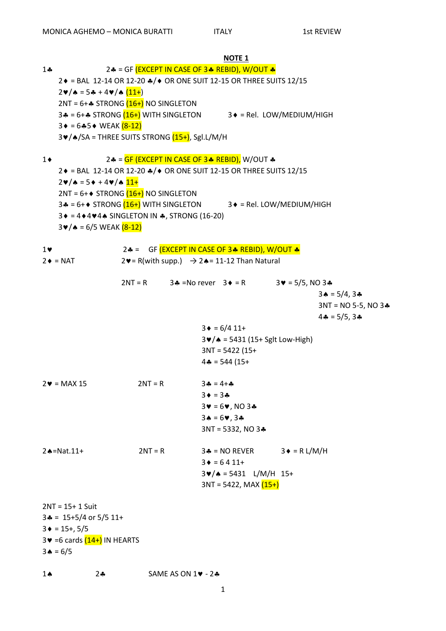|            |                                                                               |           |                                                                              | <b>NOTE 1</b>                                          |                        |                                  |  |
|------------|-------------------------------------------------------------------------------|-----------|------------------------------------------------------------------------------|--------------------------------------------------------|------------------------|----------------------------------|--|
| $1 -$      | 2.4 = GF (EXCEPT IN CASE OF 3.4 REBID), W/OUT &                               |           |                                                                              |                                                        |                        |                                  |  |
|            | 2♦ = BAL 12-14 OR 12-20 ♦/♦ OR ONE SUIT 12-15 OR THREE SUITS 12/15            |           |                                                                              |                                                        |                        |                                  |  |
|            | $2\nu/\mathbf{A} = 5\mathbf{A} + 4\nu/\mathbf{A}$ $(11+$                      |           |                                                                              |                                                        |                        |                                  |  |
|            | $2NT = 6 +$ STRONG $(16+)$ NO SINGLETON                                       |           |                                                                              |                                                        |                        |                                  |  |
|            | 3. = $6 +$ STRONG $(16 +)$ WITH SINGLETON 3 + = Rel. LOW/MEDIUM/HIGH          |           |                                                                              |                                                        |                        |                                  |  |
|            | $3 \div = 6 \div 5 \div \text{WEAK}$ $(8-12)$                                 |           |                                                                              |                                                        |                        |                                  |  |
|            | 3v/^/SA = THREE SUITS STRONG (15+), Sgl.L/M/H                                 |           |                                                                              |                                                        |                        |                                  |  |
|            |                                                                               |           |                                                                              |                                                        |                        |                                  |  |
| $1\bullet$ |                                                                               |           | 2.4 = GF (EXCEPT IN CASE OF 3.4 REBID), W/OUT &                              |                                                        |                        |                                  |  |
|            | 2♦ = BAL 12-14 OR 12-20 ♦/♦ OR ONE SUIT 12-15 OR THREE SUITS 12/15            |           |                                                                              |                                                        |                        |                                  |  |
|            | $2\nu/\mathbf{A} = 5\nu + 4\nu/\mathbf{A}$ 11+                                |           |                                                                              |                                                        |                        |                                  |  |
|            | $2NT = 6 + \diamond$ STRONG $(16+)$ NO SINGLETON                              |           |                                                                              |                                                        |                        |                                  |  |
|            | 3.4 = 6+ STRONG $(16+)$ WITH SINGLETON 3 + = Rel. LOW/MEDIUM/HIGH             |           |                                                                              |                                                        |                        |                                  |  |
|            |                                                                               |           |                                                                              |                                                        |                        |                                  |  |
|            | $3 \div 4 \div 4 \times 4 \times 5$ SINGLETON IN $\clubsuit$ , STRONG (16-20) |           |                                                                              |                                                        |                        |                                  |  |
|            | $3 \cdot \sqrt{4} = 6/5$ WEAK $(8-12)$                                        |           |                                                                              |                                                        |                        |                                  |  |
| $1$ v      |                                                                               |           | 2.4 = GF (EXCEPT IN CASE OF 3.4 REBID), W/OUT &                              |                                                        |                        |                                  |  |
|            |                                                                               |           |                                                                              |                                                        |                        |                                  |  |
|            | $2 \div = NAT$                                                                |           | $2 \blacktriangleright$ = R(with supp.) $\rightarrow$ 2★= 11-12 Than Natural |                                                        |                        |                                  |  |
|            |                                                                               |           | $2NT = R$ 34 = No rever $3 \div 5 = R$                                       |                                                        |                        |                                  |  |
|            |                                                                               |           |                                                                              |                                                        | $3 \vee = 5/5$ , NO 34 |                                  |  |
|            |                                                                               |           |                                                                              |                                                        |                        | $3 \triangle = 5/4, 3 \triangle$ |  |
|            |                                                                               |           |                                                                              |                                                        |                        | $3NT = NO 5-5, NO 3.4$           |  |
|            |                                                                               |           |                                                                              |                                                        |                        | $4 - 5/5, 3 -$                   |  |
|            |                                                                               |           |                                                                              | $3 \div = 6/4 11 +$                                    |                        |                                  |  |
|            |                                                                               |           |                                                                              | $3 \cdot \sqrt{4} = 5431 (15 + Sglt Low-High)$         |                        |                                  |  |
|            |                                                                               |           |                                                                              | $3NT = 5422 (15+$                                      |                        |                                  |  |
|            |                                                                               |           |                                                                              | $4 - 544(15 +$                                         |                        |                                  |  |
|            | $2\blacktriangledown$ = MAX 15                                                | $2NT = R$ | $3 - 4 +$                                                                    |                                                        |                        |                                  |  |
|            |                                                                               |           | $3 \bullet = 3 \clubsuit$                                                    |                                                        |                        |                                  |  |
|            |                                                                               |           |                                                                              | $34 = 64$ , NO 34                                      |                        |                                  |  |
|            |                                                                               |           |                                                                              | $3A = 69, 3A$                                          |                        |                                  |  |
|            |                                                                               |           |                                                                              | $3NT = 5332$ , NO $3*$                                 |                        |                                  |  |
|            |                                                                               |           |                                                                              |                                                        |                        |                                  |  |
|            | $2 \triangle = Nat.11+$                                                       | $2NT = R$ |                                                                              | $3 - 5 = 50$ REVER                                     | $3 \triangleq R$ L/M/H |                                  |  |
|            |                                                                               |           |                                                                              | $3 \div = 6411 +$                                      |                        |                                  |  |
|            |                                                                               |           |                                                                              | $3\blacktriangleright/\blacktriangle = 5431$ L/M/H 15+ |                        |                                  |  |
|            |                                                                               |           |                                                                              | $3NT = 5422$ , MAX $(15+)$                             |                        |                                  |  |
|            |                                                                               |           |                                                                              |                                                        |                        |                                  |  |
|            | $2NT = 15 + 1 Suit$                                                           |           |                                                                              |                                                        |                        |                                  |  |
|            | $3* = 15+5/4$ or 5/5 11+                                                      |           |                                                                              |                                                        |                        |                                  |  |
|            | $3 \div = 15 + 5/5$                                                           |           |                                                                              |                                                        |                        |                                  |  |
|            | $3\blacktriangleright$ =6 cards $(14+)$ IN HEARTS                             |           |                                                                              |                                                        |                        |                                  |  |
|            |                                                                               |           |                                                                              |                                                        |                        |                                  |  |
|            | $3 \triangle = 6/5$                                                           |           |                                                                              |                                                        |                        |                                  |  |
|            |                                                                               |           |                                                                              |                                                        |                        |                                  |  |

SAME AS ON  $1\blacktriangledown - 2\clubsuit$  $1 \spadesuit$  $2 - 2$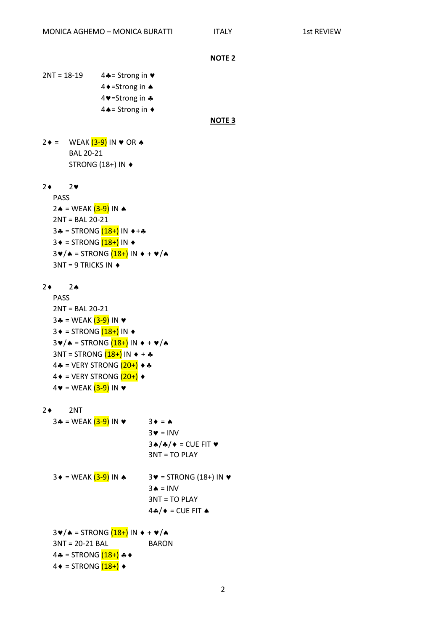```
NOTE 2
```
 $2NT = 18-19$  4.4= Strong in  $\triangledown$ 4 + = Strong in ♦ 4 V=Strong in  $\clubsuit$  $4 \triangle =$  Strong in  $\triangleleft$ 

**NOTE 3**

 $2 \div = \text{WEAK} (3-9) \text{ IN } \lor \text{ OR } \land$ BAL 20-21 STRONG (18+) IN

 $2 \div 2 \times 2$ 

- PASS 2  $\triangle$  = WEAK  $(3-9)$  IN  $\triangle$ 2NT = BAL 20-21 3  $=$  STRONG  $(18+)$  IN  $\leftrightarrow$  +  $\clubsuit$  $3 \triangleq$  = STRONG  $(18+)$  IN  $\triangleq$  $3\cdot / \triangle =$  STRONG  $(18+)$  IN  $\triangle + \vee / \triangle$  $3NT = 9$  TRICKS IN  $\triangleleft$
- 2 2
	- PASS 2NT = BAL 20-21 3  $=$  WEAK  $(3-9)$  IN  $\vee$  $3 \triangleq 5$  = STRONG  $(18+)$  IN  $\triangleq$  $3\cdot / \triangle =$  STRONG  $(18+)$  IN  $\leftrightarrow + \vee / \triangle$  $3NT = STRONG (18+) IN + +$  $4$  = VERY STRONG  $(20+)$   $\leftrightarrow$  $4 \bullet = \text{VERV STRONG} (20+) \bullet$  $4\mathbf{v}$  = WEAK  $(3-9)$  IN  $\mathbf{v}$
- $2 \div 2NT$ 
	- 3 $\triangle$  = WEAK  $(3-9)$  IN  $\triangledown$  3  $\triangle$  =  $\triangle$  $3 \cdot = INV$  $3A/A/$  = CUE FIT  $\blacktriangledown$ 3NT = TO PLAY  $3 \cdot = \text{WEAK} \left( \frac{3-9}{10} \right)$  IN  $\cdot = 3 \cdot = 5$ TRONG (18+) IN  $\cdot$  $3 \triangle = INV$ 3NT = TO PLAY  $4A/$  = CUE FIT  $\triangle$  $3\cdot / \triangle =$  STRONG  $(18+)$  IN  $\triangle + \vee / \triangle$ 3NT = 20-21 BAL BARON  $4 - 5$  = STRONG  $(18+) +$
	- $4 \bullet =$  STRONG  $(18+) \bullet$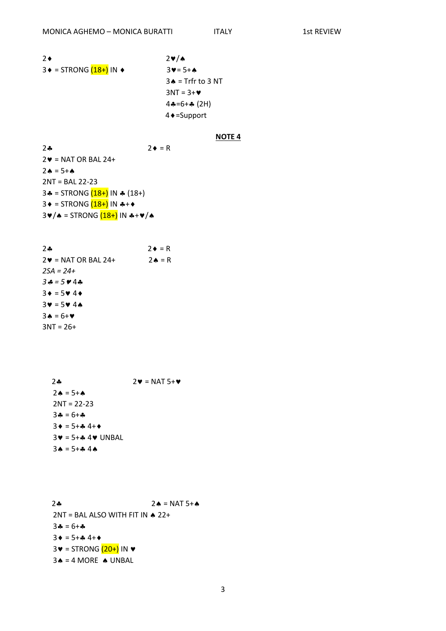**ITALY** 

 $2\bullet$  $2\nabla/\mathbf{A}$  $3 \triangleq$  = STRONG  $(18+)$  IN  $\triangleq$  $3 \vee = 5 + 4$  $3 \triangle =$  Trfr to 3 NT  $3NT = 3 + 9$  $4 - 6 + 4 (2H)$  $4 \triangle =$ Support

### **NOTE 4**

 $24$  $2 \bullet = R$  $2 \blacktriangleright$  = NAT OR BAL 24+  $2A = 5+A$  $2NT = BAL 22-23$ 3.4 = STRONG  $(18+)$  IN  $\ast$  (18+)  $3 \div = STRONG(18+)$  IN  $\ast + \ast$  $3 \cdot 4 = 5$ TRONG  $(18+)$  IN  $*+1$ /\*

 $2 - 2$  $2\mathbf{v}$  = NAT 5+ $\mathbf{v}$  $2 \cdot = 5 + \cdot$  $2NT = 22-23$  $34 = 6 + 4$  $3 \bullet = 5 + 4 \cdot 4 + 6$  $3\blacktriangledown = 5 + 4$  4  $\blacktriangledown$  UNBAL  $3 \cdot = 5 + 2 \cdot 4 \cdot 4$ 

 $2 - 2$  $2 \triangle = NAT 5 + \triangle$  $2NT = BAL$  ALSO WITH FIT IN  $\triangle 22+$  $3 - 6 +$  $3 \bullet = 5 + 4 \cdot 4 + 6$  $3\blacktriangledown$  = STRONG  $(20+)$  IN  $\blacktriangledown$  $3 \triangle = 4$  MORE  $\triangle$  UNBAL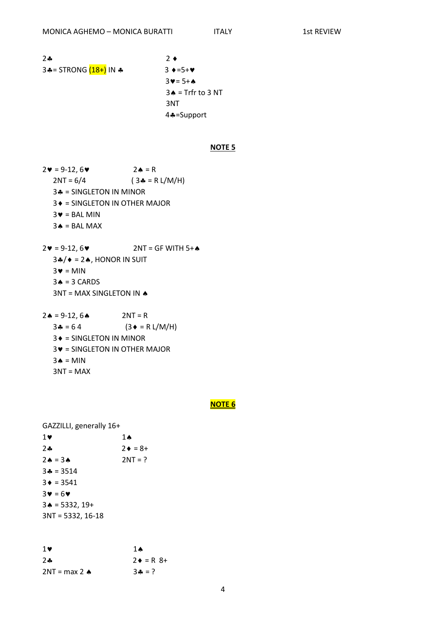**ITALY** 

 $2 - 2$  $2 \bullet$ 3+ = STRONG (18+) IN +  $3 \div 5 + \times$  $3 \vee = 5 + A$  $3 \triangle$  = Trfr to 3 NT 3NT 4÷=Support

## **NOTE 5**

- $2 \cdot = 9 12, 6 \cdot$  $2 \triangle = R$  $2NT = 6/4$  $(3 - R L/M/H)$ 34 = SINGLETON IN MINOR 3 ♦ = SINGLETON IN OTHER MAJOR  $3 \blacktriangleright =$  BAL MIN  $3 \triangle = BAL$  MAX
- $2 \cdot = 9 12.6 \cdot$  $2NT = GF WITH 5+A$  $3\cdot 7$  = 2 $\cdot$ , HONOR IN SUIT  $3 \cdot = MIN$  $3 \triangle = 3$  CARDS 3NT = MAX SINGLETON IN A
- $2 \cdot = 9 12, 6 \cdot$  $2NT = R$  $34 = 64$  $(3 \bullet = R L/M/H)$  $3 \triangleleft$  = SINGLETON IN MINOR  $3\blacktriangleright$  = SINGLETON IN OTHER MAJOR  $3 \triangle = MIN$  $3NT = MAX$

#### **NOTE 6**

GAZZILLI, generally 16+

| $1\vee$                     | 1 A            |
|-----------------------------|----------------|
| $2 -$                       | $2 \div = 8 +$ |
| $2A = 3A$                   | $2NT = ?$      |
| $3* = 3514$                 |                |
| $3 \div = 3541$             |                |
| $3\mathbf{v} = 6\mathbf{v}$ |                |
| $3 \triangle = 5332, 19+$   |                |
| $3NT = 5332, 16-18$         |                |
|                             |                |

| $1$ v                   | 1 A                    |
|-------------------------|------------------------|
| $2 -$                   | $2 \bullet = R \, 8 +$ |
| 2NT = max 2 $\triangle$ | $3 - 7$                |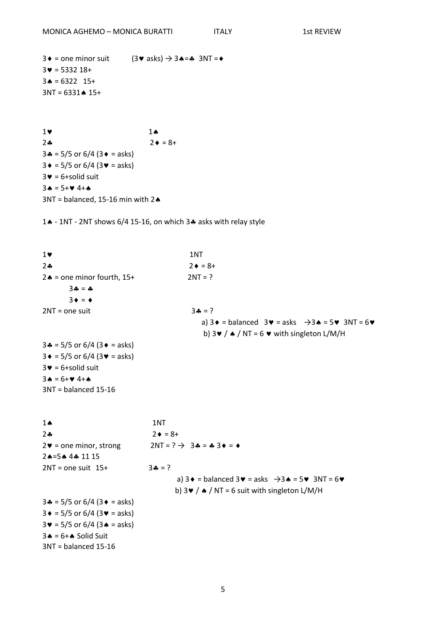3 $\div$  = one minor suit (3 $\div$  asks)  $\rightarrow$  3 $\leftrightarrow$  =  $\div$  3NT =  $\leftrightarrow$  $3 \cdot = 5332 18 +$  $3 \triangle = 6322 \quad 15+$  $3NT = 6331 \cdot 15+$ 

 $1$  v  $1$   $\sim$  $2 \cdot 2 \cdot 5 = 8 +$  $3 - 5/5$  or  $6/4$  ( $3 - 5$  asks)  $3 \div = 5/5$  or 6/4 (3 $\div =$  asks)  $3 \cdot = 6 +$ solid suit  $3 \cdot = 5 + 9 \cdot 4 + 4$  $3NT = balanced, 15-16$  min with 2 $\spadesuit$ 

14 - 1NT - 2NT shows  $6/4$  15-16, on which 34 asks with relay style

 $1 \triangledown$  1NT  $2 \cdot = 8 +$  $2 \triangle$  = one minor fourth,  $15+$  2NT = ?  $3 - 4$  $3 \bullet = \bullet$  $2NT = one suit$   $3 \div = ?$ a)  $3 \cdot =$  balanced  $3 \cdot =$  asks  $\rightarrow 3 \cdot = 5 \cdot 3N$  = 6 $\cdot$ b)  $3 \cdot / \cdot$  / NT = 6  $\cdot \cdot$  with singleton L/M/H  $3 - 5/5$  or  $6/4$  ( $3 - 5$  asks)  $3 \div = 5/5$  or 6/4 (3 $\div =$  asks)  $3 \cdot = 6 +$ solid suit  $3 \triangle = 6 + 9 \cdot 4 + 4$ 3NT = balanced 15-16 1 1NT  $2 \div 8 +$  $2\mathbf{v}$  = one minor, strong  $2NT = ? \rightarrow 3\mathbf{A} = \mathbf{A}3\mathbf{v} = \mathbf{A}$  $2A=5A$  44 11 15  $2NT = one suit 15+ 3 = ?$ a)  $3 \cdot =$  balanced  $3 \cdot =$  asks  $\rightarrow 3 \cdot = 5 \cdot 3N$ T = 6 $\cdot$ b)  $3 \cdot / \cdot$  / NT = 6 suit with singleton L/M/H  $3 - 5/5$  or 6/4 (3  $\bullet$  = asks)  $3 \div = 5/5$  or 6/4 (3 $\sqrt{ }$  = asks)  $3 \cdot = 5/5$  or  $6/4$  (3  $\cdot =$  asks)  $3 \triangle = 6 + \triangle$  Solid Suit 3NT = balanced 15-16